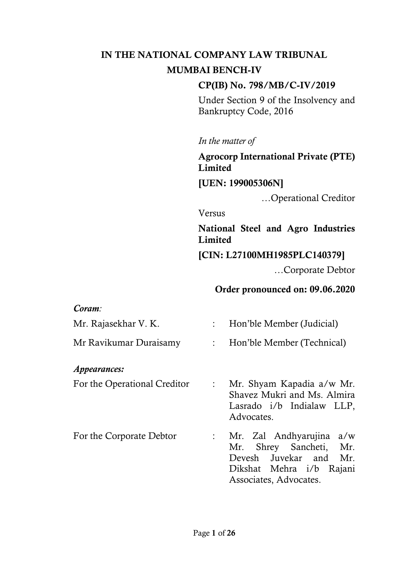## IN THE NATIONAL COMPANY LAW TRIBUNAL MUMBAI BENCH-IV

### CP(IB) No. 798/MB/C-IV/2019

Under Section 9 of the Insolvency and Bankruptcy Code, 2016

*In the matter of* 

Agrocorp International Private (PTE) Limited

[UEN: 199005306N]

…Operational Creditor

Versus

National Steel and Agro Industries Limited

[CIN: L27100MH1985PLC140379]

…Corporate Debtor

### Order pronounced on: 09.06.2020

| Coram:                       |                           |                                                                                                                                              |
|------------------------------|---------------------------|----------------------------------------------------------------------------------------------------------------------------------------------|
| Mr. Rajasekhar V. K.         |                           | : Hon'ble Member (Judicial)                                                                                                                  |
| Mr Ravikumar Duraisamy       |                           | : Hon'ble Member (Technical)                                                                                                                 |
| <i>Appearances:</i>          |                           |                                                                                                                                              |
| For the Operational Creditor | $\mathbb{R}^{\mathbb{Z}}$ | Mr. Shyam Kapadia a/w Mr.<br>Shavez Mukri and Ms. Almira<br>Lasrado i/b Indialaw LLP,<br>Advocates.                                          |
| For the Corporate Debtor     | $\mathbb{R}^{\mathbb{Z}}$ | Mr. Zal Andhyarujina<br>a/w<br>Mr. Shrey Sancheti,<br>Mr.<br>Devesh Juvekar and<br>Mr.<br>Dikshat Mehra i/b Rajani<br>Associates, Advocates. |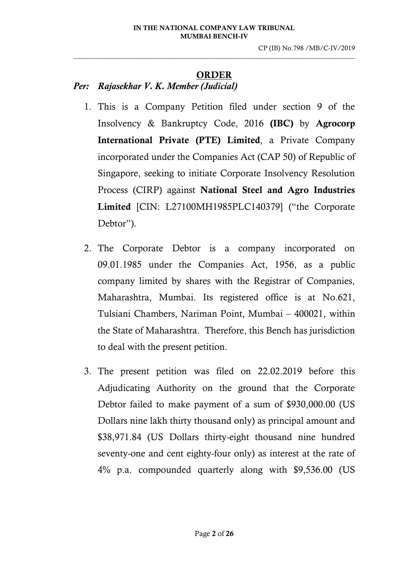#### ORDER

 $\_$  , and the set of the set of the set of the set of the set of the set of the set of the set of the set of the set of the set of the set of the set of the set of the set of the set of the set of the set of the set of th

*Per: Rajasekhar V. K. Member (Judicial)*

- 1. This is a Company Petition filed under section 9 of the Insolvency & Bankruptcy Code, 2016 (IBC) by Agrocorp International Private (PTE) Limited, a Private Company incorporated under the Companies Act (CAP 50) of Republic of Singapore, seeking to initiate Corporate Insolvency Resolution Process (CIRP) against National Steel and Agro Industries Limited [CIN: L27100MH1985PLC140379] ("the Corporate Debtor").
- 2. The Corporate Debtor is a company incorporated on 09.01.1985 under the Companies Act, 1956, as a public company limited by shares with the Registrar of Companies, Maharashtra, Mumbai. Its registered office is at No.621, Tulsiani Chambers, Nariman Point, Mumbai – 400021, within the State of Maharashtra. Therefore, this Bench has jurisdiction to deal with the present petition.
- 3. The present petition was filed on 22.02.2019 before this Adjudicating Authority on the ground that the Corporate Debtor failed to make payment of a sum of \$930,000.00 (US Dollars nine lakh thirty thousand only) as principal amount and \$38,971.84 (US Dollars thirty-eight thousand nine hundred seventy-one and cent eighty-four only) as interest at the rate of 4% p.a. compounded quarterly along with \$9,536.00 (US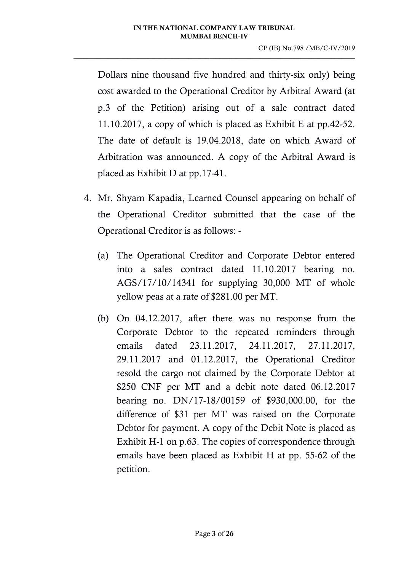Dollars nine thousand five hundred and thirty-six only) being cost awarded to the Operational Creditor by Arbitral Award (at p.3 of the Petition) arising out of a sale contract dated 11.10.2017, a copy of which is placed as Exhibit E at pp.42-52. The date of default is 19.04.2018, date on which Award of Arbitration was announced. A copy of the Arbitral Award is placed as Exhibit D at pp.17-41.

- 4. Mr. Shyam Kapadia, Learned Counsel appearing on behalf of the Operational Creditor submitted that the case of the Operational Creditor is as follows: -
	- (a) The Operational Creditor and Corporate Debtor entered into a sales contract dated 11.10.2017 bearing no. AGS/17/10/14341 for supplying 30,000 MT of whole yellow peas at a rate of \$281.00 per MT.
	- (b) On 04.12.2017, after there was no response from the Corporate Debtor to the repeated reminders through emails dated 23.11.2017, 24.11.2017, 27.11.2017, 29.11.2017 and 01.12.2017, the Operational Creditor resold the cargo not claimed by the Corporate Debtor at \$250 CNF per MT and a debit note dated 06.12.2017 bearing no. DN/17-18/00159 of \$930,000.00, for the difference of \$31 per MT was raised on the Corporate Debtor for payment. A copy of the Debit Note is placed as Exhibit H-1 on p.63. The copies of correspondence through emails have been placed as Exhibit H at pp. 55-62 of the petition.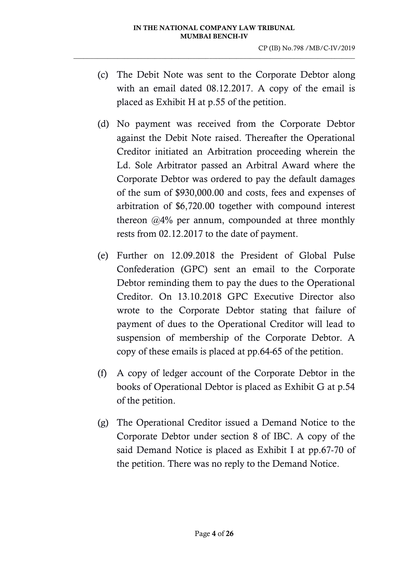- (c) The Debit Note was sent to the Corporate Debtor along with an email dated 08.12.2017. A copy of the email is placed as Exhibit H at p.55 of the petition.
- (d) No payment was received from the Corporate Debtor against the Debit Note raised. Thereafter the Operational Creditor initiated an Arbitration proceeding wherein the Ld. Sole Arbitrator passed an Arbitral Award where the Corporate Debtor was ordered to pay the default damages of the sum of \$930,000.00 and costs, fees and expenses of arbitration of \$6,720.00 together with compound interest thereon @4% per annum, compounded at three monthly rests from 02.12.2017 to the date of payment.
- (e) Further on 12.09.2018 the President of Global Pulse Confederation (GPC) sent an email to the Corporate Debtor reminding them to pay the dues to the Operational Creditor. On 13.10.2018 GPC Executive Director also wrote to the Corporate Debtor stating that failure of payment of dues to the Operational Creditor will lead to suspension of membership of the Corporate Debtor. A copy of these emails is placed at pp.64-65 of the petition.
- (f) A copy of ledger account of the Corporate Debtor in the books of Operational Debtor is placed as Exhibit G at p.54 of the petition.
- (g) The Operational Creditor issued a Demand Notice to the Corporate Debtor under section 8 of IBC. A copy of the said Demand Notice is placed as Exhibit I at pp.67-70 of the petition. There was no reply to the Demand Notice.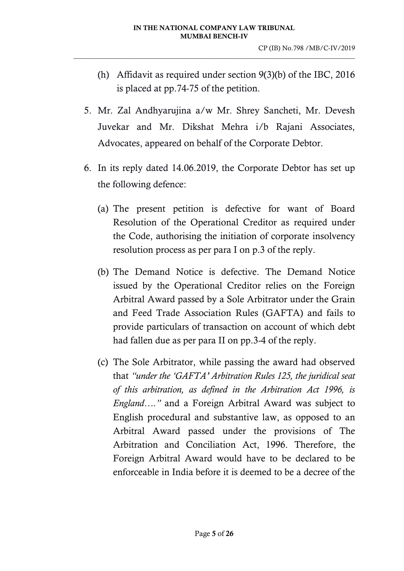- (h) Affidavit as required under section 9(3)(b) of the IBC, 2016 is placed at pp.74-75 of the petition.
- 5. Mr. Zal Andhyarujina a/w Mr. Shrey Sancheti, Mr. Devesh Juvekar and Mr. Dikshat Mehra i/b Rajani Associates, Advocates, appeared on behalf of the Corporate Debtor.
- 6. In its reply dated 14.06.2019, the Corporate Debtor has set up the following defence:
	- (a) The present petition is defective for want of Board Resolution of the Operational Creditor as required under the Code, authorising the initiation of corporate insolvency resolution process as per para I on p.3 of the reply.
	- (b) The Demand Notice is defective. The Demand Notice issued by the Operational Creditor relies on the Foreign Arbitral Award passed by a Sole Arbitrator under the Grain and Feed Trade Association Rules (GAFTA) and fails to provide particulars of transaction on account of which debt had fallen due as per para II on pp.3-4 of the reply.
	- (c) The Sole Arbitrator, while passing the award had observed that *"under the 'GAFTA' Arbitration Rules 125, the juridical seat of this arbitration, as defined in the Arbitration Act 1996, is England…."* and a Foreign Arbitral Award was subject to English procedural and substantive law, as opposed to an Arbitral Award passed under the provisions of The Arbitration and Conciliation Act, 1996. Therefore, the Foreign Arbitral Award would have to be declared to be enforceable in India before it is deemed to be a decree of the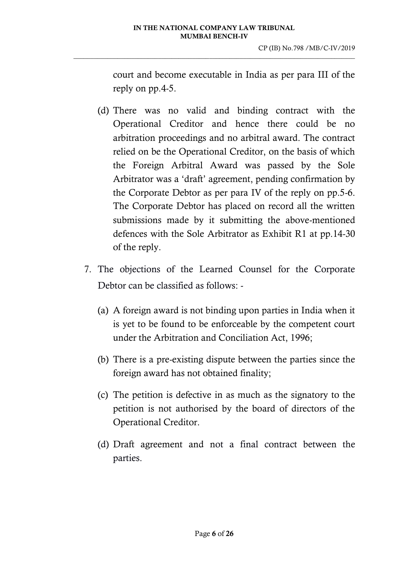court and become executable in India as per para III of the reply on pp.4-5.

- (d) There was no valid and binding contract with the Operational Creditor and hence there could be no arbitration proceedings and no arbitral award. The contract relied on be the Operational Creditor, on the basis of which the Foreign Arbitral Award was passed by the Sole Arbitrator was a 'draft' agreement, pending confirmation by the Corporate Debtor as per para IV of the reply on pp.5-6. The Corporate Debtor has placed on record all the written submissions made by it submitting the above-mentioned defences with the Sole Arbitrator as Exhibit R1 at pp.14-30 of the reply.
- 7. The objections of the Learned Counsel for the Corporate Debtor can be classified as follows: -
	- (a) A foreign award is not binding upon parties in India when it is yet to be found to be enforceable by the competent court under the Arbitration and Conciliation Act, 1996;
	- (b) There is a pre-existing dispute between the parties since the foreign award has not obtained finality;
	- (c) The petition is defective in as much as the signatory to the petition is not authorised by the board of directors of the Operational Creditor.
	- (d) Draft agreement and not a final contract between the parties.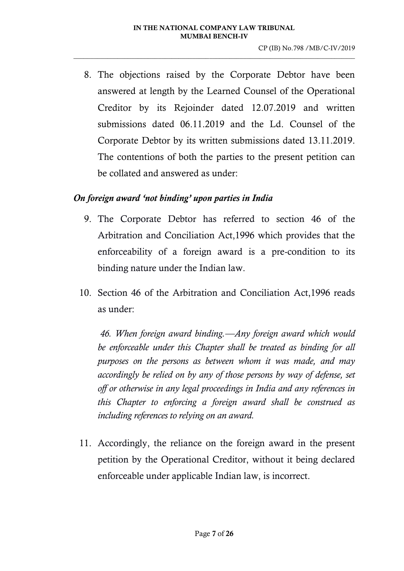8. The objections raised by the Corporate Debtor have been answered at length by the Learned Counsel of the Operational Creditor by its Rejoinder dated 12.07.2019 and written submissions dated 06.11.2019 and the Ld. Counsel of the Corporate Debtor by its written submissions dated 13.11.2019. The contentions of both the parties to the present petition can be collated and answered as under:

### *On foreign award 'not binding' upon parties in India*

- 9. The Corporate Debtor has referred to section 46 of the Arbitration and Conciliation Act,1996 which provides that the enforceability of a foreign award is a pre-condition to its binding nature under the Indian law.
- 10. Section 46 of the Arbitration and Conciliation Act,1996 reads as under:

*46. When foreign award binding.—Any foreign award which would be enforceable under this Chapter shall be treated as binding for all purposes on the persons as between whom it was made, and may accordingly be relied on by any of those persons by way of defense, set off or otherwise in any legal proceedings in India and any references in this Chapter to enforcing a foreign award shall be construed as including references to relying on an award.*

11. Accordingly, the reliance on the foreign award in the present petition by the Operational Creditor, without it being declared enforceable under applicable Indian law, is incorrect.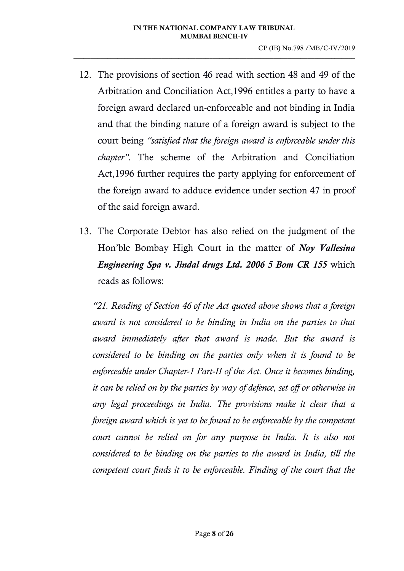- 12. The provisions of section 46 read with section 48 and 49 of the Arbitration and Conciliation Act,1996 entitles a party to have a foreign award declared un-enforceable and not binding in India and that the binding nature of a foreign award is subject to the court being *"satisfied that the foreign award is enforceable under this chapter".* The scheme of the Arbitration and Conciliation Act,1996 further requires the party applying for enforcement of the foreign award to adduce evidence under section 47 in proof of the said foreign award.
- 13. The Corporate Debtor has also relied on the judgment of the Hon'ble Bombay High Court in the matter of *Noy Vallesina Engineering Spa v. Jindal drugs Ltd. 2006 5 Bom CR 155* which reads as follows:

*"21. Reading of [Section 46](https://indiankanoon.org/doc/1317393/) of the Act quoted above shows that a foreign award is not considered to be binding in India on the parties to that award immediately after that award is made. But the award is considered to be binding on the parties only when it is found to be enforceable under Chapter-1 Part-II of the Act. Once it becomes binding, it can be relied on by the parties by way of defence, set off or otherwise in any legal proceedings in India. The provisions make it clear that a foreign award which is yet to be found to be enforceable by the competent court cannot be relied on for any purpose in India. It is also not considered to be binding on the parties to the award in India, till the competent court finds it to be enforceable. Finding of the court that the*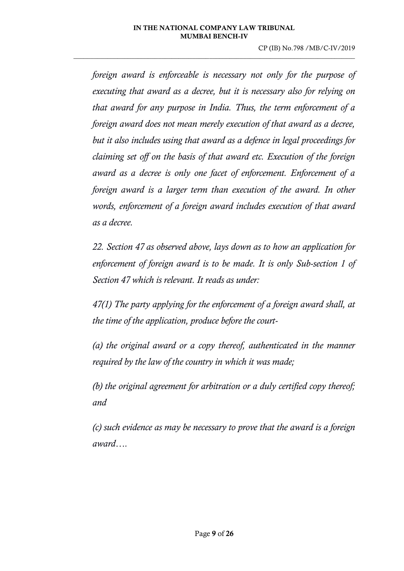*foreign award is enforceable is necessary not only for the purpose of executing that award as a decree, but it is necessary also for relying on that award for any purpose in India. Thus, the term enforcement of a foreign award does not mean merely execution of that award as a decree, but it also includes using that award as a defence in legal proceedings for claiming set off on the basis of that award etc. Execution of the foreign award as a decree is only one facet of enforcement. Enforcement of a foreign award is a larger term than execution of the award. In other words, enforcement of a foreign award includes execution of that award as a decree.*

*22. [Section 47](https://indiankanoon.org/doc/1317393/) as observed above, lays down as to how an application for enforcement of foreign award is to be made. It is only Sub-section 1 of Section 47 which is relevant. It reads as under:*

*47(1) The party applying for the enforcement of a foreign award shall, at the time of the application, produce before the court-*

*(a) the original award or a copy thereof, authenticated in the manner required by the law of the country in which it was made;*

*(b) the original agreement for arbitration or a duly certified copy thereof; and*

*(c) such evidence as may be necessary to prove that the award is a foreign award….*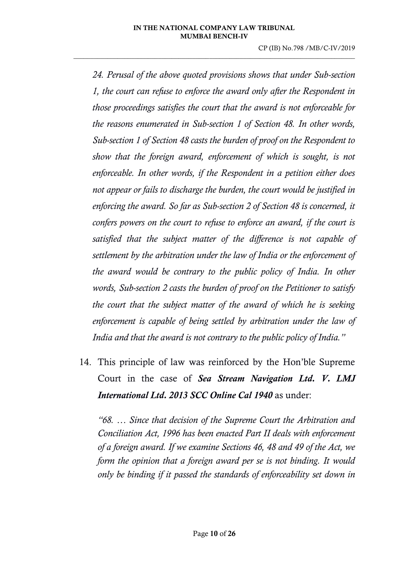CP (IB) No.798 /MB/C-IV/2019

*24. Perusal of the above quoted provisions shows that under Sub[-section](https://indiankanoon.org/doc/206324/)  [1,](https://indiankanoon.org/doc/206324/) the court can refuse to enforce the award only after the Respondent in those proceedings satisfies the court that the award is not enforceable for the reasons enumerated in Sub-section 1 of Section 48. In other words, Sub-section 1 of Section 48 casts the burden of proof on the Respondent to show that the foreign award, enforcement of which is sought, is not enforceable. In other words, if the Respondent in a petition either does not appear or fails to discharge the burden, the court would be justified in enforcing the award. So far as Sub-section 2 of Section 48 is concerned, it confers powers on the court to refuse to enforce an award, if the court is satisfied that the subject matter of the difference is not capable of settlement by the arbitration under the law of India or the enforcement of the award would be contrary to the public policy of India. In other words, Sub[-section 2](https://indiankanoon.org/doc/103447/) casts the burden of proof on the Petitioner to satisfy the court that the subject matter of the award of which he is seeking enforcement is capable of being settled by arbitration under the law of India and that the award is not contrary to the public policy of India."*

14. This principle of law was reinforced by the Hon'ble Supreme Court in the case of *Sea Stream Navigation Ltd. V. LMJ International Ltd. 2013 SCC Online Cal 1940* as under:

*"68. … Since that decision of the Supreme Court the Arbitration and Conciliation Act, 1996 has been enacted Part II deals with enforcement of a foreign award. If we examine Sections 46, 48 and 49 of the Act, we form the opinion that a foreign award per se is not binding. It would only be binding if it passed the standards of enforceability set down in*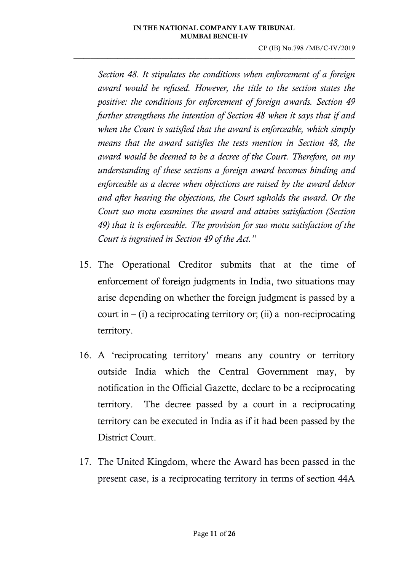CP (IB) No.798 /MB/C-IV/2019

*Section 48. It stipulates the conditions when enforcement of a foreign award would be refused. However, the title to the section states the positive: the conditions for enforcement of foreign awards. Section 49 further strengthens the intention of Section 48 when it says that if and when the Court is satisfied that the award is enforceable, which simply means that the award satisfies the tests mention in Section 48, the award would be deemed to be a decree of the Court. Therefore, on my understanding of these sections a foreign award becomes binding and enforceable as a decree when objections are raised by the award debtor and after hearing the objections, the Court upholds the award. Or the Court suo motu examines the award and attains satisfaction (Section 49) that it is enforceable. The provision for suo motu satisfaction of the Court is ingrained in Section 49 of the Act."*

- 15. The Operational Creditor submits that at the time of enforcement of foreign judgments in India, two situations may arise depending on whether the foreign judgment is passed by a court in  $-$  (i) a reciprocating territory or; (ii) a non-reciprocating territory.
- 16. A 'reciprocating territory' means any country or territory outside India which the Central Government may, by notification in the Official Gazette, declare to be a reciprocating territory. The decree passed by a court in a reciprocating territory can be executed in India as if it had been passed by the District Court.
- 17. The United Kingdom, where the Award has been passed in the present case, is a reciprocating territory in terms of section 44A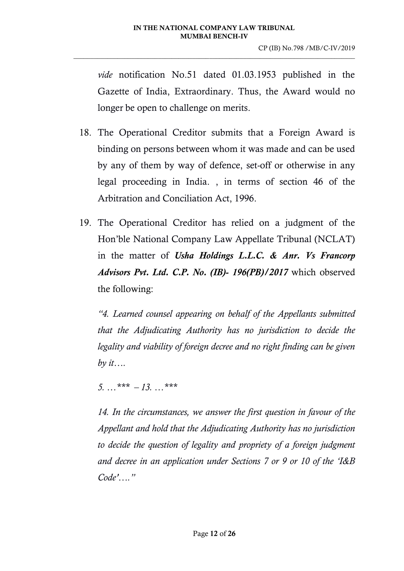*vide* notification No.51 dated 01.03.1953 published in the Gazette of India, Extraordinary. Thus, the Award would no longer be open to challenge on merits.

- 18. The Operational Creditor submits that a Foreign Award is binding on persons between whom it was made and can be used by any of them by way of defence, set-off or otherwise in any legal proceeding in India. , in terms of section 46 of the Arbitration and Conciliation Act, 1996.
- 19. The Operational Creditor has relied on a judgment of the Hon'ble National Company Law Appellate Tribunal (NCLAT) in the matter of *Usha Holdings L.L.C. & Anr. Vs Francorp Advisors Pvt. Ltd. C.P. No. (IB)- 196(PB)/2017* which observed the following:

*"4. Learned counsel appearing on behalf of the Appellants submitted that the Adjudicating Authority has no jurisdiction to decide the legality and viability of foreign decree and no right finding can be given by it….*

*5. …\*\*\* – 13. …\*\*\**

*14. In the circumstances, we answer the first question in favour of the Appellant and hold that the Adjudicating Authority has no jurisdiction to decide the question of legality and propriety of a foreign judgment and decree in an application under Sections 7 or 9 or 10 of the 'I&B Code'…."*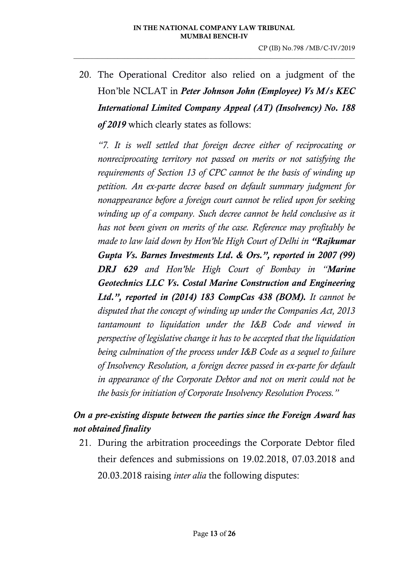20. The Operational Creditor also relied on a judgment of the Hon'ble NCLAT in *Peter Johnson John (Employee) Vs M/s KEC International Limited Company Appeal (AT) (Insolvency) No. 188 of 2019* which clearly states as follows:

*"7. It is well settled that foreign decree either of reciprocating or nonreciprocating territory not passed on merits or not satisfying the requirements of Section 13 of CPC cannot be the basis of winding up petition. An ex-parte decree based on default summary judgment for nonappearance before a foreign court cannot be relied upon for seeking winding up of a company. Such decree cannot be held conclusive as it has not been given on merits of the case. Reference may profitably be made to law laid down by Hon'ble High Court of Delhi in "Rajkumar Gupta Vs. Barnes Investments Ltd. & Ors.", reported in 2007 (99) DRJ 629 and Hon'ble High Court of Bombay in "Marine Geotechnics LLC Vs. Costal Marine Construction and Engineering Ltd.", reported in (2014) 183 CompCas 438 (BOM). It cannot be disputed that the concept of winding up under the Companies Act, 2013 tantamount to liquidation under the I&B Code and viewed in perspective of legislative change it has to be accepted that the liquidation being culmination of the process under I&B Code as a sequel to failure of Insolvency Resolution, a foreign decree passed in ex-parte for default in appearance of the Corporate Debtor and not on merit could not be the basis for initiation of Corporate Insolvency Resolution Process."*

## *On a pre-existing dispute between the parties since the Foreign Award has not obtained finality*

21. During the arbitration proceedings the Corporate Debtor filed their defences and submissions on 19.02.2018, 07.03.2018 and 20.03.2018 raising *inter alia* the following disputes: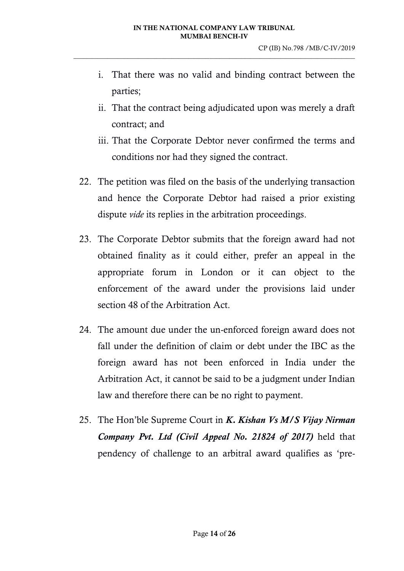- i. That there was no valid and binding contract between the parties;
- ii. That the contract being adjudicated upon was merely a draft contract; and
- iii. That the Corporate Debtor never confirmed the terms and conditions nor had they signed the contract.
- 22. The petition was filed on the basis of the underlying transaction and hence the Corporate Debtor had raised a prior existing dispute *vide* its replies in the arbitration proceedings.
- 23. The Corporate Debtor submits that the foreign award had not obtained finality as it could either, prefer an appeal in the appropriate forum in London or it can object to the enforcement of the award under the provisions laid under section 48 of the Arbitration Act.
- 24. The amount due under the un-enforced foreign award does not fall under the definition of claim or debt under the IBC as the foreign award has not been enforced in India under the Arbitration Act, it cannot be said to be a judgment under Indian law and therefore there can be no right to payment.
- 25. The Hon'ble Supreme Court in *K. Kishan Vs M/S Vijay Nirman Company Pvt. Ltd (Civil Appeal No. 21824 of 2017)* held that pendency of challenge to an arbitral award qualifies as 'pre-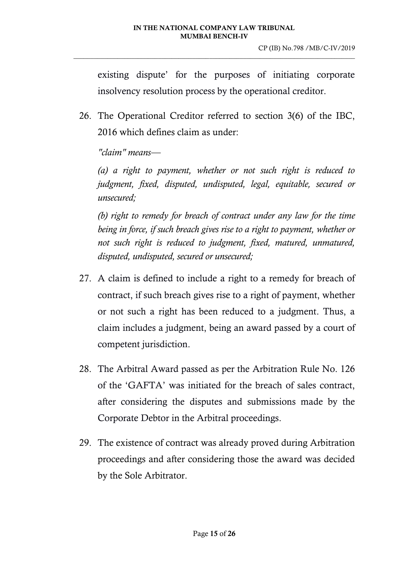existing dispute' for the purposes of initiating corporate insolvency resolution process by the operational creditor.

26. The Operational Creditor referred to section 3(6) of the IBC, 2016 which defines claim as under:

*"claim" means—*

*(a) a right to payment, whether or not such right is reduced to judgment, fixed, disputed, undisputed, legal, equitable, secured or unsecured;* 

*(b) right to remedy for breach of contract under any law for the time being in force, if such breach gives rise to a right to payment, whether or not such right is reduced to judgment, fixed, matured, unmatured, disputed, undisputed, secured or unsecured;*

- 27. A claim is defined to include a right to a remedy for breach of contract, if such breach gives rise to a right of payment, whether or not such a right has been reduced to a judgment. Thus, a claim includes a judgment, being an award passed by a court of competent jurisdiction.
- 28. The Arbitral Award passed as per the Arbitration Rule No. 126 of the 'GAFTA' was initiated for the breach of sales contract, after considering the disputes and submissions made by the Corporate Debtor in the Arbitral proceedings.
- 29. The existence of contract was already proved during Arbitration proceedings and after considering those the award was decided by the Sole Arbitrator.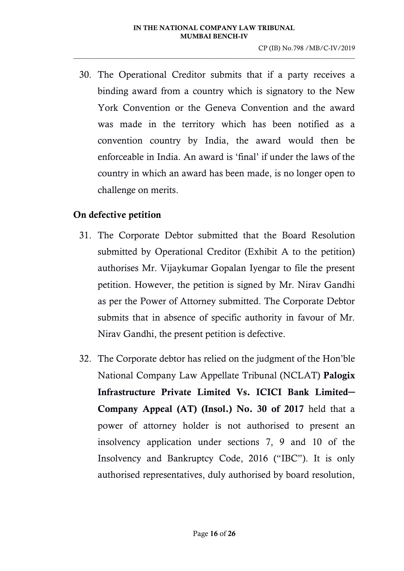30. The Operational Creditor submits that if a party receives a binding award from a country which is signatory to the New York Convention or the Geneva Convention and the award was made in the territory which has been notified as a convention country by India, the award would then be enforceable in India. An award is 'final' if under the laws of the country in which an award has been made, is no longer open to challenge on merits.

### On defective petition

- 31. The Corporate Debtor submitted that the Board Resolution submitted by Operational Creditor (Exhibit A to the petition) authorises Mr. Vijaykumar Gopalan Iyengar to file the present petition. However, the petition is signed by Mr. Nirav Gandhi as per the Power of Attorney submitted. The Corporate Debtor submits that in absence of specific authority in favour of Mr. Nirav Gandhi, the present petition is defective.
- 32. The Corporate debtor has relied on the judgment of the Hon'ble National Company Law Appellate Tribunal (NCLAT) Palogix Infrastructure Private Limited Vs. ICICI Bank Limited**─** Company Appeal (AT) (Insol.) No. 30 of 2017 held that a power of attorney holder is not authorised to present an insolvency application under sections 7, 9 and 10 of the Insolvency and Bankruptcy Code, 2016 ("IBC"). It is only authorised representatives, duly authorised by board resolution,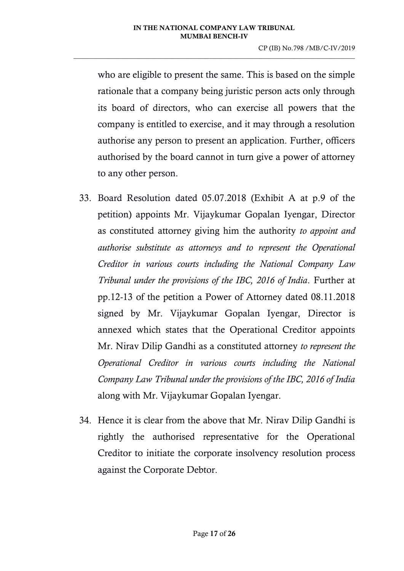who are eligible to present the same. This is based on the simple rationale that a company being juristic person acts only through its board of directors, who can exercise all powers that the company is entitled to exercise, and it may through a resolution authorise any person to present an application. Further, officers authorised by the board cannot in turn give a power of attorney to any other person.

- 33. Board Resolution dated 05.07.2018 (Exhibit A at p.9 of the petition) appoints Mr. Vijaykumar Gopalan Iyengar, Director as constituted attorney giving him the authority *to appoint and authorise substitute as attorneys and to represent the Operational Creditor in various courts including the National Company Law Tribunal under the provisions of the IBC, 2016 of India*. Further at pp.12-13 of the petition a Power of Attorney dated 08.11.2018 signed by Mr. Vijaykumar Gopalan Iyengar, Director is annexed which states that the Operational Creditor appoints Mr. Nirav Dilip Gandhi as a constituted attorney *to represent the Operational Creditor in various courts including the National Company Law Tribunal under the provisions of the IBC, 2016 of India* along with Mr. Vijaykumar Gopalan Iyengar.
- 34. Hence it is clear from the above that Mr. Nirav Dilip Gandhi is rightly the authorised representative for the Operational Creditor to initiate the corporate insolvency resolution process against the Corporate Debtor.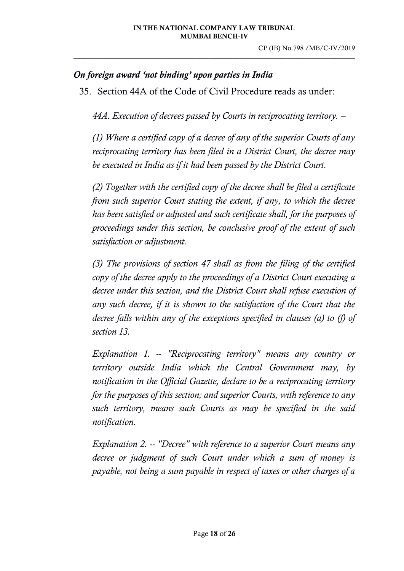### *On foreign award 'not binding' upon parties in India*

35. Section 44A of the Code of Civil Procedure reads as under:

*44A. Execution of decrees passed by Courts in reciprocating territory. –*

*(1) Where a certified copy of a decree of any of the superior Courts of any reciprocating territory has been filed in a District Court, the decree may be executed in India as if it had been passed by the District Court.*

*(2) Together with the certified copy of the decree shall be filed a certificate from such superior Court stating the extent, if any, to which the decree has been satisfied or adjusted and such certificate shall, for the purposes of proceedings under this section, be conclusive proof of the extent of such satisfaction or adjustment.*

*(3) The provisions of section 47 shall as from the filing of the certified copy of the decree apply to the proceedings of a District Court executing a decree under this section, and the District Court shall refuse execution of any such decree, if it is shown to the satisfaction of the Court that the decree falls within any of the exceptions specified in clauses (a) to (f) of section 13.*

*Explanation 1. -- "Reciprocating territory" means any country or territory outside India which the Central Government may, by notification in the Official Gazette, declare to be a reciprocating territory for the purposes of this section; and superior Courts, with reference to any such territory, means such Courts as may be specified in the said notification.*

*Explanation 2. -- "Decree" with reference to a superior Court means any decree or judgment of such Court under which a sum of money is payable, not being a sum payable in respect of taxes or other charges of a*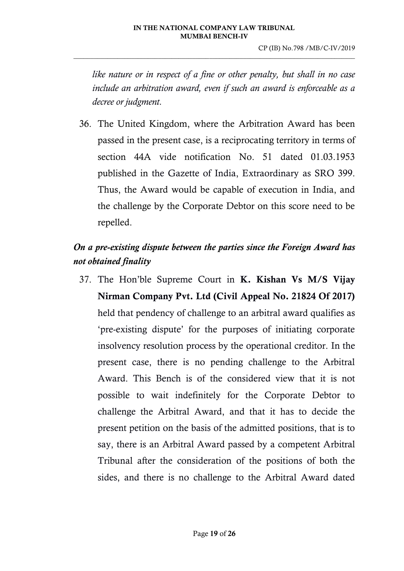*like nature or in respect of a fine or other penalty, but shall in no case include an arbitration award, even if such an award is enforceable as a decree or judgment.*

36. The United Kingdom, where the Arbitration Award has been passed in the present case, is a reciprocating territory in terms of section 44A vide notification No. 51 dated 01.03.1953 published in the Gazette of India, Extraordinary as SRO 399. Thus, the Award would be capable of execution in India, and the challenge by the Corporate Debtor on this score need to be repelled.

# *On a pre-existing dispute between the parties since the Foreign Award has not obtained finality*

37. The Hon'ble Supreme Court in K. Kishan Vs M/S Vijay Nirman Company Pvt. Ltd (Civil Appeal No. 21824 Of 2017) held that pendency of challenge to an arbitral award qualifies as 'pre-existing dispute' for the purposes of initiating corporate insolvency resolution process by the operational creditor. In the present case, there is no pending challenge to the Arbitral Award. This Bench is of the considered view that it is not possible to wait indefinitely for the Corporate Debtor to challenge the Arbitral Award, and that it has to decide the present petition on the basis of the admitted positions, that is to say, there is an Arbitral Award passed by a competent Arbitral Tribunal after the consideration of the positions of both the sides, and there is no challenge to the Arbitral Award dated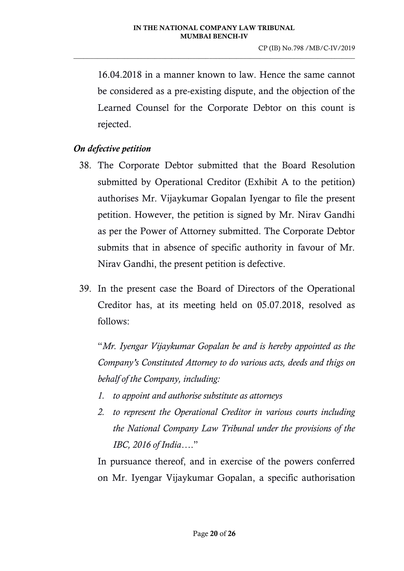16.04.2018 in a manner known to law. Hence the same cannot be considered as a pre-existing dispute, and the objection of the Learned Counsel for the Corporate Debtor on this count is rejected.

### *On defective petition*

- 38. The Corporate Debtor submitted that the Board Resolution submitted by Operational Creditor (Exhibit A to the petition) authorises Mr. Vijaykumar Gopalan Iyengar to file the present petition. However, the petition is signed by Mr. Nirav Gandhi as per the Power of Attorney submitted. The Corporate Debtor submits that in absence of specific authority in favour of Mr. Nirav Gandhi, the present petition is defective.
- 39. In the present case the Board of Directors of the Operational Creditor has, at its meeting held on 05.07.2018, resolved as follows:

"*Mr. Iyengar Vijaykumar Gopalan be and is hereby appointed as the Company's Constituted Attorney to do various acts, deeds and thigs on behalf of the Company, including:*

- *1. to appoint and authorise substitute as attorneys*
- *2. to represent the Operational Creditor in various courts including the National Company Law Tribunal under the provisions of the IBC, 2016 of India*…."

In pursuance thereof, and in exercise of the powers conferred on Mr. Iyengar Vijaykumar Gopalan, a specific authorisation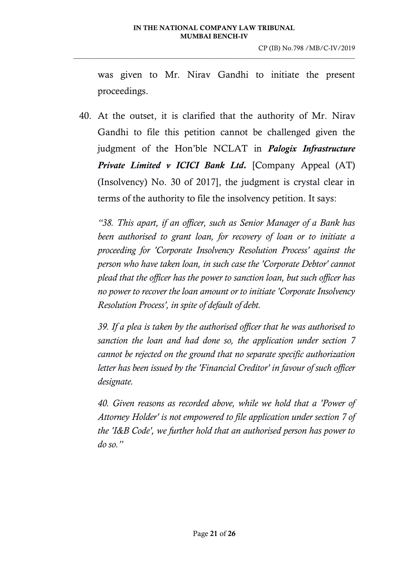was given to Mr. Nirav Gandhi to initiate the present proceedings.

40. At the outset, it is clarified that the authority of Mr. Nirav Gandhi to file this petition cannot be challenged given the judgment of the Hon'ble NCLAT in *Palogix Infrastructure Private Limited v ICICI Bank Ltd.* [Company Appeal (AT) (Insolvency) No. 30 of 2017], the judgment is crystal clear in terms of the authority to file the insolvency petition. It says:

*"38. This apart, if an officer, such as Senior Manager of a Bank has been authorised to grant loan, for recovery of loan or to initiate a proceeding for 'Corporate Insolvency Resolution Process' against the person who have taken loan, in such case the 'Corporate Debtor' cannot plead that the officer has the power to sanction loan, but such officer has no power to recover the loan amount or to initiate 'Corporate Insolvency Resolution Process', in spite of default of debt.* 

*39. If a plea is taken by the authorised officer that he was authorised to sanction the loan and had done so, the application under section 7 cannot be rejected on the ground that no separate specific authorization letter has been issued by the 'Financial Creditor' in favour of such officer designate.* 

*40. Given reasons as recorded above, while we hold that a 'Power of Attorney Holder' is not empowered to file application under section 7 of the 'I&B Code', we further hold that an authorised person has power to do so."*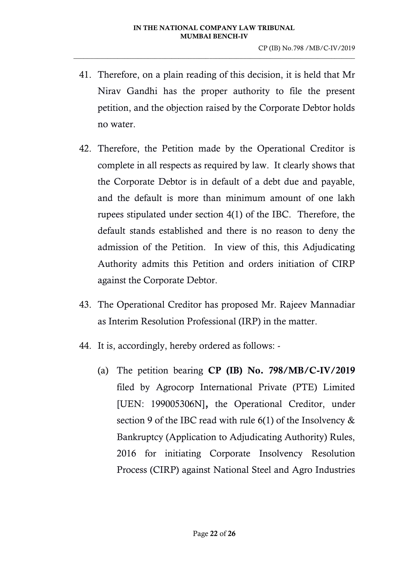- 41. Therefore, on a plain reading of this decision, it is held that Mr Nirav Gandhi has the proper authority to file the present petition, and the objection raised by the Corporate Debtor holds no water.
- 42. Therefore, the Petition made by the Operational Creditor is complete in all respects as required by law. It clearly shows that the Corporate Debtor is in default of a debt due and payable, and the default is more than minimum amount of one lakh rupees stipulated under section 4(1) of the IBC. Therefore, the default stands established and there is no reason to deny the admission of the Petition. In view of this, this Adjudicating Authority admits this Petition and orders initiation of CIRP against the Corporate Debtor.
- 43. The Operational Creditor has proposed Mr. Rajeev Mannadiar as Interim Resolution Professional (IRP) in the matter.
- 44. It is, accordingly, hereby ordered as follows:
	- (a) The petition bearing CP (IB) No. 798/MB/C-IV/2019 filed by Agrocorp International Private (PTE) Limited [UEN: 199005306N], the Operational Creditor, under section 9 of the IBC read with rule 6(1) of the Insolvency & Bankruptcy (Application to Adjudicating Authority) Rules, 2016 for initiating Corporate Insolvency Resolution Process (CIRP) against National Steel and Agro Industries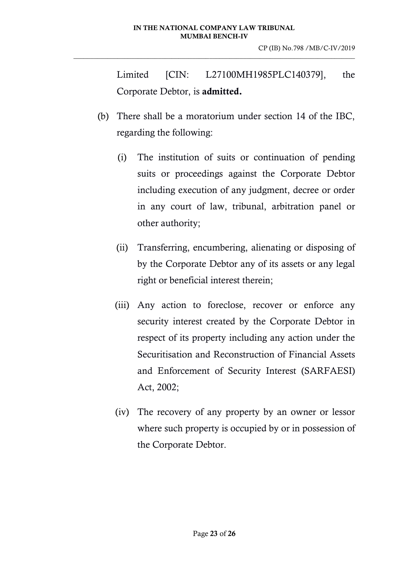Limited [CIN: L27100MH1985PLC140379], the Corporate Debtor, is admitted.

- (b) There shall be a moratorium under section 14 of the IBC, regarding the following:
	- (i) The institution of suits or continuation of pending suits or proceedings against the Corporate Debtor including execution of any judgment, decree or order in any court of law, tribunal, arbitration panel or other authority;
	- (ii) Transferring, encumbering, alienating or disposing of by the Corporate Debtor any of its assets or any legal right or beneficial interest therein;
	- (iii) Any action to foreclose, recover or enforce any security interest created by the Corporate Debtor in respect of its property including any action under the Securitisation and Reconstruction of Financial Assets and Enforcement of Security Interest (SARFAESI) Act, 2002;
	- (iv) The recovery of any property by an owner or lessor where such property is occupied by or in possession of the Corporate Debtor.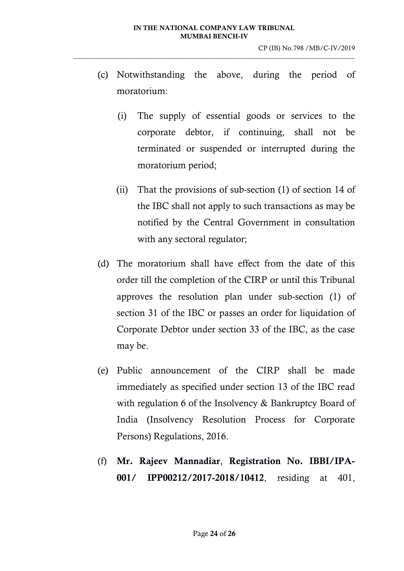- (c) Notwithstanding the above, during the period of moratorium:
	- (i) The supply of essential goods or services to the corporate debtor, if continuing, shall not be terminated or suspended or interrupted during the moratorium period;
	- (ii) That the provisions of sub-section (1) of section 14 of the IBC shall not apply to such transactions as may be notified by the Central Government in consultation with any sectoral regulator;
- (d) The moratorium shall have effect from the date of this order till the completion of the CIRP or until this Tribunal approves the resolution plan under sub-section (1) of section 31 of the IBC or passes an order for liquidation of Corporate Debtor under section 33 of the IBC, as the case may be.
- (e) Public announcement of the CIRP shall be made immediately as specified under section 13 of the IBC read with regulation 6 of the Insolvency & Bankruptcy Board of India (Insolvency Resolution Process for Corporate Persons) Regulations, 2016.
- (f) Mr. Rajeev Mannadiar, Registration No. IBBI/IPA-001/ IPP00212/2017-2018/10412, residing at 401,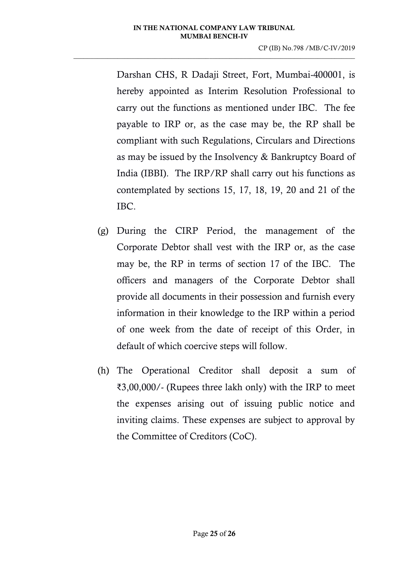Darshan CHS, R Dadaji Street, Fort, Mumbai-400001, is hereby appointed as Interim Resolution Professional to carry out the functions as mentioned under IBC. The fee payable to IRP or, as the case may be, the RP shall be compliant with such Regulations, Circulars and Directions as may be issued by the Insolvency & Bankruptcy Board of India (IBBI). The IRP/RP shall carry out his functions as contemplated by sections 15, 17, 18, 19, 20 and 21 of the IBC.

- (g) During the CIRP Period, the management of the Corporate Debtor shall vest with the IRP or, as the case may be, the RP in terms of section 17 of the IBC. The officers and managers of the Corporate Debtor shall provide all documents in their possession and furnish every information in their knowledge to the IRP within a period of one week from the date of receipt of this Order, in default of which coercive steps will follow.
- (h) The Operational Creditor shall deposit a sum of ₹3,00,000/- (Rupees three lakh only) with the IRP to meet the expenses arising out of issuing public notice and inviting claims. These expenses are subject to approval by the Committee of Creditors (CoC).